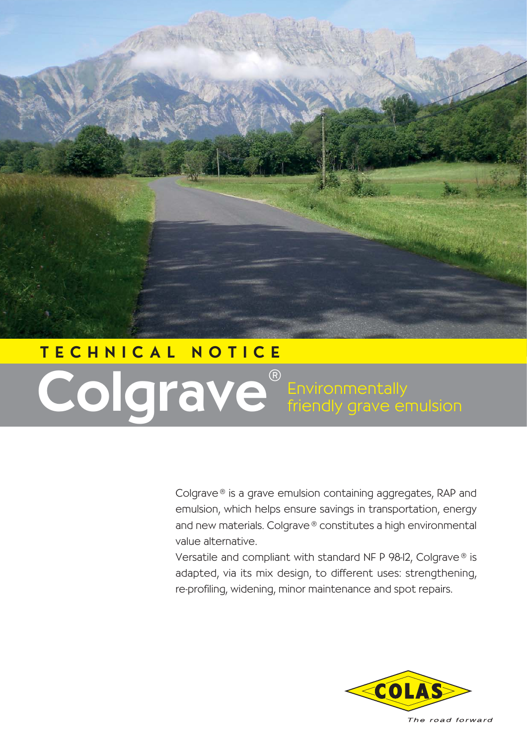

## TECHNICAL NOTICE Colgrave**®** Environmentally friendly grave emulsion

Colgrave ® is a grave emulsion containing aggregates, RAP and emulsion, which helps ensure savings in transportation, energy and new materials. Colgrave® constitutes a high environmental value alternative.

Versatile and compliant with standard NF P 98-12, Colgrave ® is adapted, via its mix design, to different uses: strengthening, re-profiling, widening, minor maintenance and spot repairs.

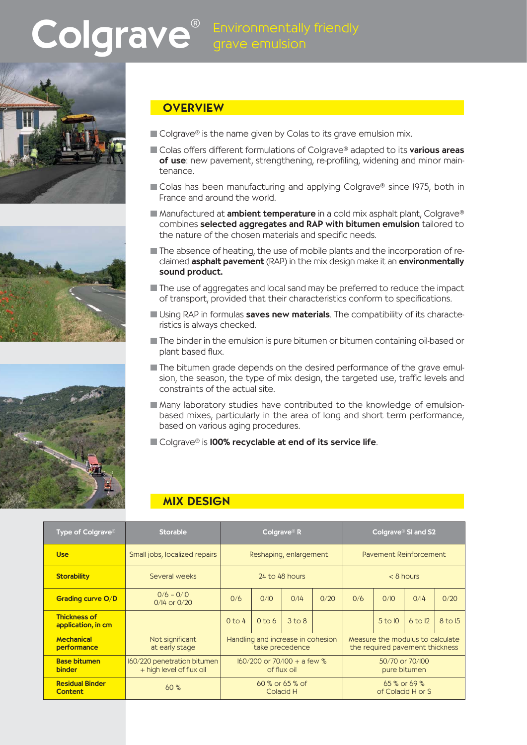# Colgrave<sup>®</sup> Environmentally friendly







### **OVERVIEW**

- $\blacksquare$  Colgrave<sup>®</sup> is the name given by Colas to its grave emulsion mix.
- Colas offers different formulations of Colgrave® adapted to its various areas of use: new pavement, strengthening, re-profiling, widening and minor maintenance.
- Colas has been manufacturing and applying Colgrave® since 1975, both in France and around the world.
- Manufactured at **ambient temperature** in a cold mix asphalt plant, Colgrave® combines selected aggregates and RAP with bitumen emulsion tailored to the nature of the chosen materials and specific needs.
- $\blacksquare$  The absence of heating, the use of mobile plants and the incorporation of reclaimed **asphalt pavement** (RAP) in the mix design make it an **environmentally** sound product.
- The use of aggregates and local sand may be preferred to reduce the impact of transport, provided that their characteristics conform to specifications.
- Using RAP in formulas saves new materials. The compatibility of its characteristics is always checked.
- The binder in the emulsion is pure bitumen or bitumen containing oil-based or plant based flux.
- The bitumen grade depends on the desired performance of the grave emulsion, the season, the type of mix design, the targeted use, traffic levels and constraints of the actual site.
- Many laboratory studies have contributed to the knowledge of emulsionbased mixes, particularly in the area of long and short term performance, based on various aging procedures.
- Colgrave® is **100% recyclable at end of its service life**.

### MIX DESIGN

| Type of Colgrave <sup>®</sup>             | <b>Storable</b>                                         | Colgrave <sup>®</sup> R                              |                   |                   |      | Colgrave <sup>®</sup> SI and S2                                     |         |             |         |
|-------------------------------------------|---------------------------------------------------------|------------------------------------------------------|-------------------|-------------------|------|---------------------------------------------------------------------|---------|-------------|---------|
| <b>Use</b>                                | Small jobs, localized repairs                           | Reshaping, enlargement                               |                   |                   |      | Pavement Reinforcement                                              |         |             |         |
| <b>Storability</b>                        | Several weeks                                           | 24 to 48 hours                                       |                   |                   |      | $< 8$ hours                                                         |         |             |         |
| Grading curve O/D                         | $0/6 - 0/10$<br>$0/14$ or $0/20$                        | 0/6                                                  | 0/10              | 0/14              | 0/20 | 0/6                                                                 | O/IO    | 0/14        | 0/20    |
| <b>Thickness of</b><br>application, in cm |                                                         | $0$ to 4                                             | 0 <sub>to</sub> 6 | 3 <sub>to</sub> 8 |      |                                                                     | 5 to 10 | $6$ to $12$ | 8 to 15 |
| <b>Mechanical</b><br>performance          | Not significant<br>at early stage                       | Handling and increase in cohesion<br>take precedence |                   |                   |      | Measure the modulus to calculate<br>the required payement thickness |         |             |         |
| <b>Base bitumen</b><br><b>binder</b>      | 160/220 penetration bitumen<br>+ high level of flux oil | $160/200$ or 70/100 + a few %<br>of flux oil         |                   |                   |      | 50/70 or 70/100<br>pure bitumen                                     |         |             |         |
| <b>Residual Binder</b><br><b>Content</b>  | 60%                                                     | $60\%$ or 65 % of<br>Colacid H                       |                   |                   |      | $65\%$ or 69 %<br>of Colacid H or S                                 |         |             |         |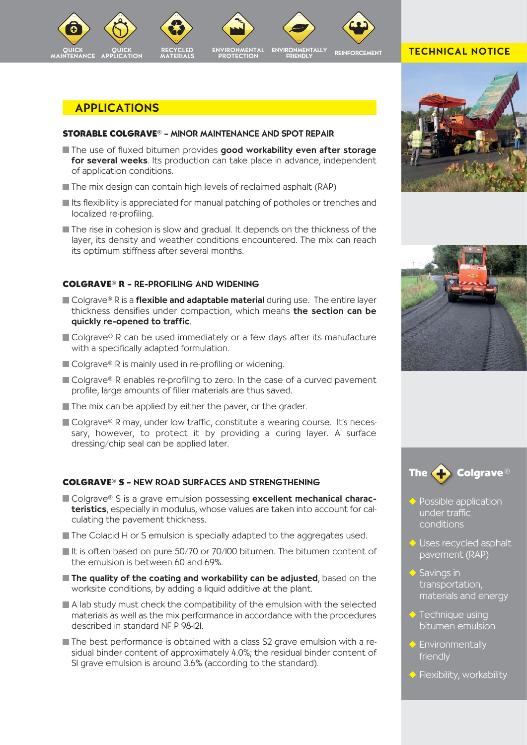

#### APPLICATIONS

#### **STORABLE COLGRAVE®** – MINOR MAINTENANCE AND SPOT REPAIR

- The use of fluxed bitumen provides good workability even after storage for several weeks. Its production can take place in advance, independent of application conditions.
- The mix design can contain high levels of reclaimed asphalt (RAP)
- $\blacksquare$  Its flexibility is appreciated for manual patching of potholes or trenches and localized re-profiling.
- The rise in cohesion is slow and gradual. It depends on the thickness of the layer, its density and weather conditions encountered. The mix can reach its optimum stiffness after several months.

#### **COLGRAVE® R** – RE-PROFILING AND WIDENING

- $\blacksquare$  Colgrave® R is a **flexible and adaptable material** during use. The entire layer thickness densifies under compaction, which means the section can be quickly re-opened to traffic.
- Colgrave® R can be used immediately or a few days after its manufacture with a specifically adapted formulation.
- Colgrave® R is mainly used in re-profiling or widening.
- $\blacksquare$  Colgrave<sup>®</sup> R enables re-profiling to zero. In the case of a curved pavement profile, large amounts of filler materials are thus saved.
- $\blacksquare$  The mix can be applied by either the paver, or the grader.
- Colgrave® R may, under low traffic, constitute a wearing course. It's necessary, however, to protect it by providing a curing layer. A surface dressing/chip seal can be applied later.

#### **COLGRAVE® S** – NEW ROAD SURFACES AND STRENGTHENING

- Colgrave® S is a grave emulsion possessing excellent mechanical characteristics, especially in modulus, whose values are taken into account for calculating the pavement thickness.
- The Colacid H or S emulsion is specially adapted to the aggregates used.
- It is often based on pure 50/70 or 70/100 bitumen. The bitumen content of the emulsion is between 60 and 69%.
- $\blacksquare$  The quality of the coating and workability can be adjusted, based on the worksite conditions, by adding a liquid additive at the plant.
- A lab study must check the compatibility of the emulsion with the selected materials as well as the mix performance in accordance with the procedures described in standard NF P 98-121.
- The best performance is obtained with a class S2 grave emulsion with a residual binder content of approximately 4.0%; the residual binder content of S1 grave emulsion is around 3.6% (according to the standard).

## TECHNICAL NOTICE







- Possible application under traffic conditions
- ◆ Uses recycled asphalt pavement (RAP)
- Savings in transportation, materials and energy
- $\blacktriangleright$  Technique using bitumen emulsion
- ◆ Environmentally friendly
- ◆ Flexibility, workability